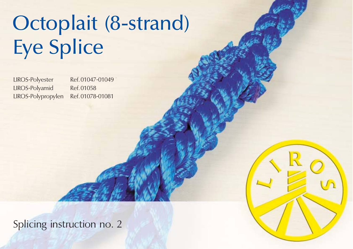## Octoplait (8-strand) Octoplait (8-strand) Eye Splice Eye Splice

LIROS-Polyester Ref. 01047-01049 LIROS-Polyamid Ref. 01058 LIROS-Polypropylen Ref. 01078-01081

Splicing instruction no. 2

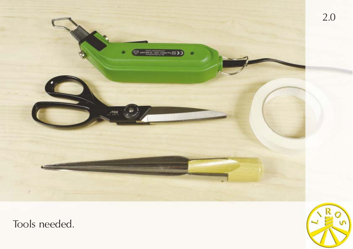

Tools needed.

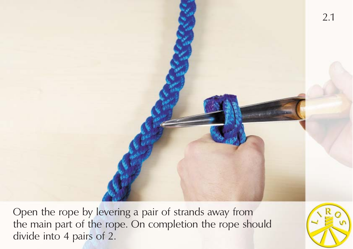

Open the rope by levering a pair of strands away from the main part of the rope. On completion the rope should divide into 4 pairs of 2.

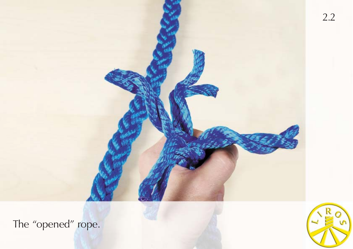

The "opened" rope.

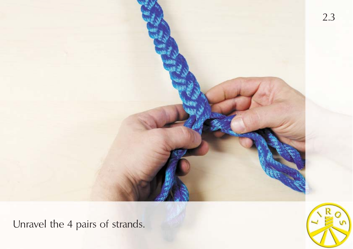

Unravel the 4 pairs of strands.

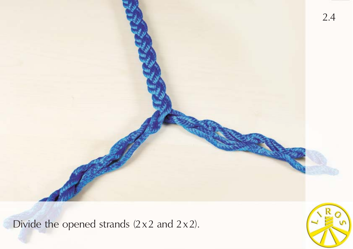

Divide the opened strands  $(2 \times 2$  and  $2 \times 2$ ).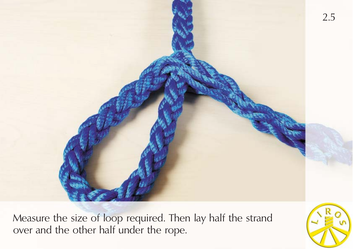

Measure the size of loop required. Then lay half the strand over and the other half under the rope.

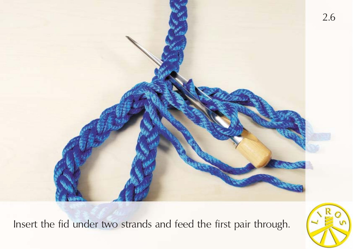

Insert the fid under two strands and feed the first pair through.

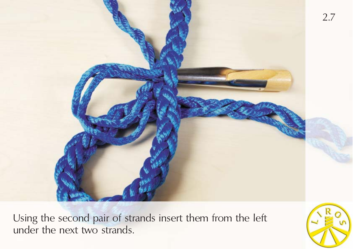

Using the second pair of strands insert them from the left under the next two strands.

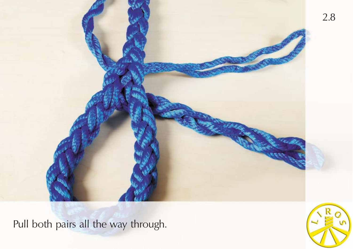

Pull both pairs all the way through.

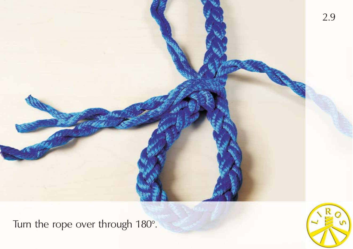

Turn the rope over through 180°.

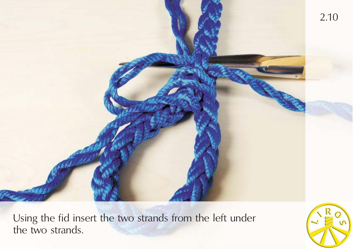

Using the fid insert the two strands from the left under the two strands.

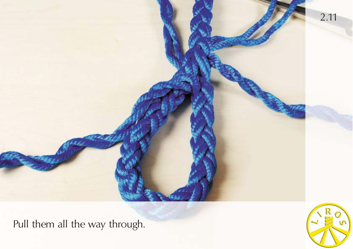

Pull them all the way through.

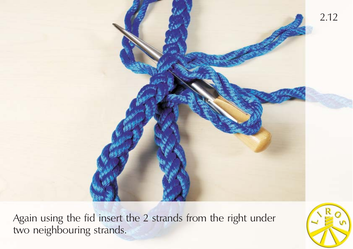

Again using the fid insert the 2 strands from the right under two neighbouring strands.

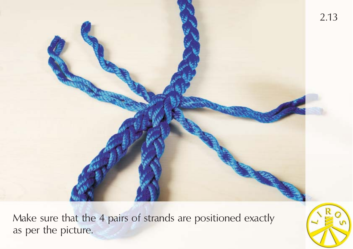

Make sure that the 4 pairs of strands are positioned exactly as per the picture.

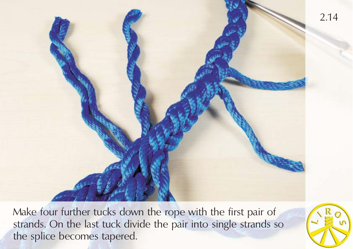

Make four further tucks down the rope with the first pair of strands. On the last tuck divide the pair into single strands so the splice becomes tapered.

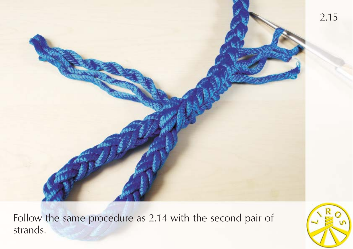

Follow the same procedure as 2.14 with the second pair of strands.

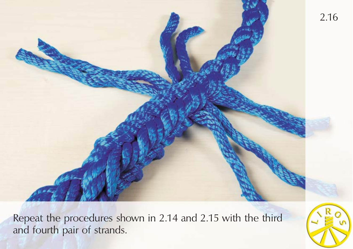

Repeat the procedures shown in 2.14 and 2.15 with the third and fourth pair of strands.

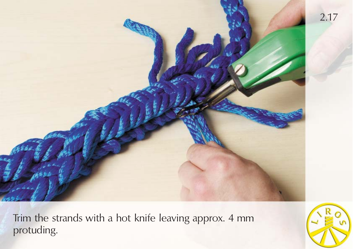

Trim the strands with a hot knife leaving approx. 4 mm protuding.